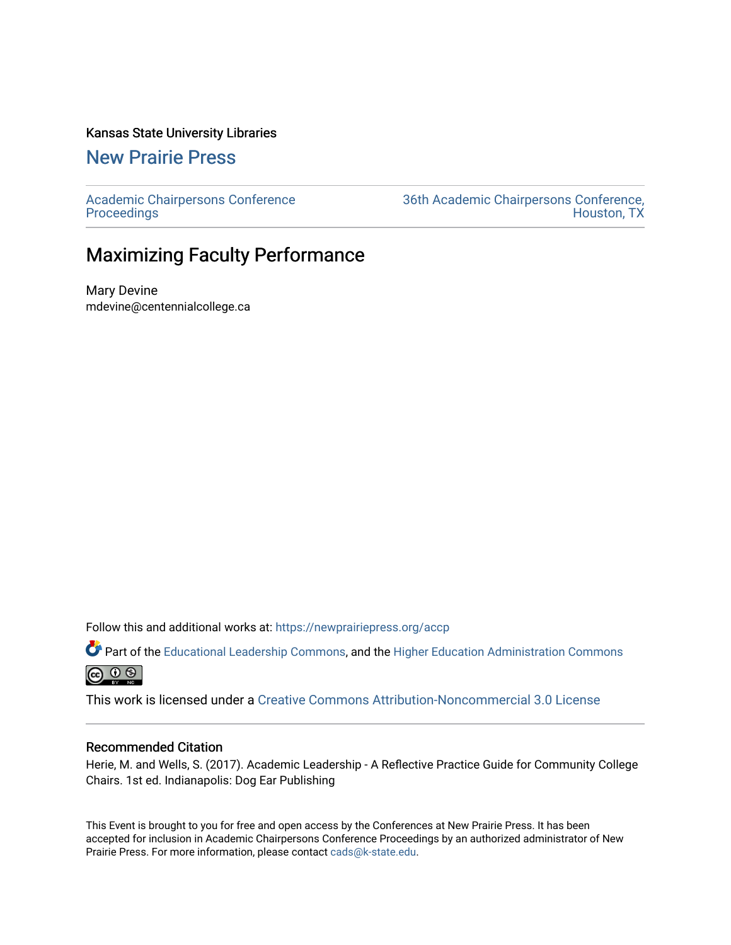#### Kansas State University Libraries

[New Prairie Press](https://newprairiepress.org/) 

[Academic Chairpersons Conference](https://newprairiepress.org/accp)  **Proceedings** 

[36th Academic Chairpersons Conference,](https://newprairiepress.org/accp/2019)  [Houston, TX](https://newprairiepress.org/accp/2019) 

### Maximizing Faculty Performance

Mary Devine mdevine@centennialcollege.ca

Follow this and additional works at: [https://newprairiepress.org/accp](https://newprairiepress.org/accp?utm_source=newprairiepress.org%2Faccp%2F2019%2Fleadership%2F16&utm_medium=PDF&utm_campaign=PDFCoverPages) 

Part of the [Educational Leadership Commons,](http://network.bepress.com/hgg/discipline/1230?utm_source=newprairiepress.org%2Faccp%2F2019%2Fleadership%2F16&utm_medium=PDF&utm_campaign=PDFCoverPages) and the [Higher Education Administration Commons](http://network.bepress.com/hgg/discipline/791?utm_source=newprairiepress.org%2Faccp%2F2019%2Fleadership%2F16&utm_medium=PDF&utm_campaign=PDFCoverPages) @ 0 ®

This work is licensed under a [Creative Commons Attribution-Noncommercial 3.0 License](https://creativecommons.org/licenses/by-nc/3.0/)

#### Recommended Citation

Herie, M. and Wells, S. (2017). Academic Leadership - A Reflective Practice Guide for Community College Chairs. 1st ed. Indianapolis: Dog Ear Publishing

This Event is brought to you for free and open access by the Conferences at New Prairie Press. It has been accepted for inclusion in Academic Chairpersons Conference Proceedings by an authorized administrator of New Prairie Press. For more information, please contact [cads@k-state.edu.](mailto:cads@k-state.edu)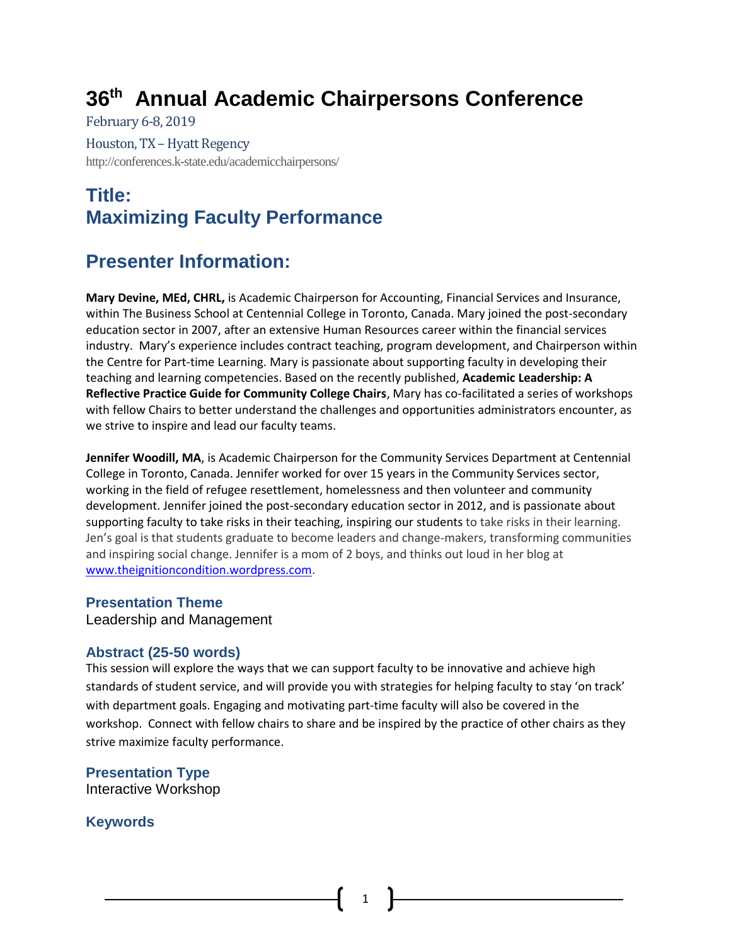# **36th Annual Academic Chairpersons Conference**

February 6-8, 2019

Houston, TX - Hyatt Regency http://conferences.k-state.edu/academicchairpersons/

# **Title: Maximizing Faculty Performance**

## **Presenter Information:**

**Mary Devine, MEd, CHRL,** is Academic Chairperson for Accounting, Financial Services and Insurance, within The Business School at Centennial College in Toronto, Canada. Mary joined the post-secondary education sector in 2007, after an extensive Human Resources career within the financial services industry. Mary's experience includes contract teaching, program development, and Chairperson within the Centre for Part-time Learning. Mary is passionate about supporting faculty in developing their teaching and learning competencies. Based on the recently published, **Academic Leadership: A Reflective Practice Guide for Community College Chairs**, Mary has co-facilitated a series of workshops with fellow Chairs to better understand the challenges and opportunities administrators encounter, as we strive to inspire and lead our faculty teams.

**Jennifer Woodill, MA**, is Academic Chairperson for the Community Services Department at Centennial College in Toronto, Canada. Jennifer worked for over 15 years in the Community Services sector, working in the field of refugee resettlement, homelessness and then volunteer and community development. Jennifer joined the post-secondary education sector in 2012, and is passionate about supporting faculty to take risks in their teaching, inspiring our students to take risks in their learning. Jen's goal is that students graduate to become leaders and change-makers, transforming communities and inspiring social change. Jennifer is a mom of 2 boys, and thinks out loud in her blog at [www.theignitioncondition.wordpress.com.](http://www.theignitioncondition.wordpress.com/)

### **Presentation Theme**

Leadership and Management

### **Abstract (25-50 words)**

This session will explore the ways that we can support faculty to be innovative and achieve high standards of student service, and will provide you with strategies for helping faculty to stay 'on track' with department goals. Engaging and motivating part-time faculty will also be covered in the workshop. Connect with fellow chairs to share and be inspired by the practice of other chairs as they strive maximize faculty performance.

**Presentation Type** Interactive Workshop

**Keywords**

1